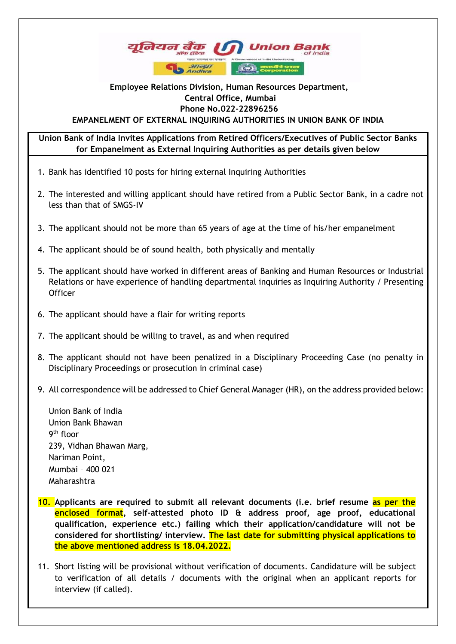

## **EMPANELMENT OF EXTERNAL INQUIRING AUTHORITIES IN UNION BANK OF INDIA Employee Relations Division, Human Resources Department, Central Office, Mumbai Phone No.022-22896256**

**Union Bank of India Invites Applications from Retired Officers/Executives of Public Sector Banks for Empanelment as External Inquiring Authorities as per details given below**

- 1. Bank has identified 10 posts for hiring external Inquiring Authorities
- 2. The interested and willing applicant should have retired from a Public Sector Bank, in a cadre not less than that of SMGS-IV
- 3. The applicant should not be more than 65 years of age at the time of his/her empanelment
- 4. The applicant should be of sound health, both physically and mentally
- 5. The applicant should have worked in different areas of Banking and Human Resources or Industrial Relations or have experience of handling departmental inquiries as Inquiring Authority / Presenting **Officer**
- 6. The applicant should have a flair for writing reports
- 7. The applicant should be willing to travel, as and when required
- 8. The applicant should not have been penalized in a Disciplinary Proceeding Case (no penalty in Disciplinary Proceedings or prosecution in criminal case)
- 9. All correspondence will be addressed to Chief General Manager (HR), on the address provided below:

Union Bank of India Union Bank Bhawan 9<sup>th</sup> floor 239, Vidhan Bhawan Marg, Nariman Point, Mumbai – 400 021 Maharashtra

- **10. Applicants are required to submit all relevant documents (i.e. brief resume as per the enclosed format, self-attested photo ID & address proof, age proof, educational qualification, experience etc.) failing which their application/candidature will not be considered for shortlisting/ interview. The last date for submitting physical applications to the above mentioned address is 18.04.2022.**
- 11. Short listing will be provisional without verification of documents. Candidature will be subject to verification of all details / documents with the original when an applicant reports for interview (if called).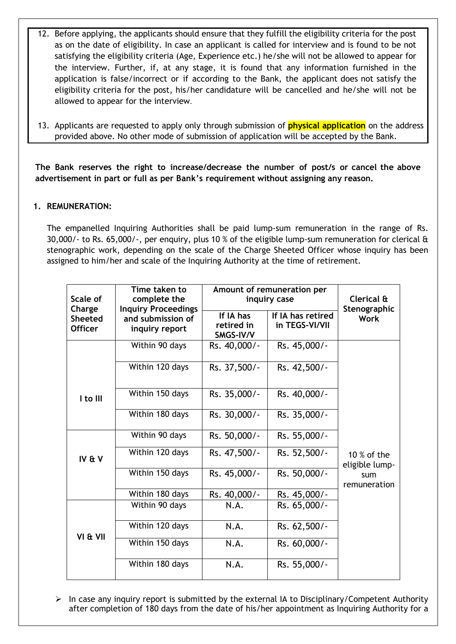- 12. Before applying, the applicants should ensure that they fulfill the eligibility criteria for the post as on the date of eligibility. In case an applicant is called for interview and is found to be not satisfying the eligibility criteria (Age, Experience etc.) he/she will not be allowed to appear for the interview. Further, if, at any stage, it is found that any information furnished in the application is false/incorrect or if according to the Bank, the applicant does not satisfy the eligibility criteria for the post, his/her candidature will be cancelled and he/she will not be allowed to appear for the interview.
- 13. Applicants are requested to apply only through submission of **physical application** on the address provided above. No other mode of submission of application will be accepted by the Bank.

**The Bank reserves the right to increase/decrease the number of post/s or cancel the above advertisement in part or full as per Bank's requirement without assigning any reason.** 

## **1. REMUNERATION:**

The empanelled Inquiring Authorities shall be paid lump-sum remuneration in the range of Rs. 30,000/- to Rs. 65,000/-, per enquiry, plus 10 % of the eligible lump-sum remuneration for clerical & stenographic work, depending on the scale of the Charge Sheeted Officer whose inquiry has been assigned to him/her and scale of the Inquiring Authority at the time of retirement.

| Scale of<br>Charge               | Time taken to<br>complete the<br><b>Inquiry Proceedings</b><br>and submission of<br>inquiry report | Amount of remuneration per<br>inquiry case |                                     | Clerical &<br>Stenographic                             |
|----------------------------------|----------------------------------------------------------------------------------------------------|--------------------------------------------|-------------------------------------|--------------------------------------------------------|
| <b>Sheeted</b><br><b>Officer</b> |                                                                                                    | If IA has<br>retired in<br>SMGS-IV/V       | If IA has retired<br>in TEGS-VI/VII | <b>Work</b>                                            |
|                                  | Within 90 days                                                                                     | Rs. 40,000/-                               | Rs. 45,000/-                        |                                                        |
|                                  | Within 120 days                                                                                    | Rs. 37,500/-                               | Rs. 42,500/-                        |                                                        |
| I to III                         | Within 150 days                                                                                    | Rs. 35,000/-                               | Rs. 40,000/-                        |                                                        |
|                                  | Within 180 days                                                                                    | Rs. 30,000/-                               | Rs. 35,000/-                        |                                                        |
|                                  | Within 90 days                                                                                     | Rs. 50,000/-                               | Rs. 55,000/-                        |                                                        |
| IV & V                           | Within 120 days                                                                                    | Rs. 47,500/-                               | Rs. 52,500/-                        | 10 $%$ of the<br>eligible lump-<br>sum<br>remuneration |
|                                  | Within 150 days                                                                                    | Rs. 45,000/-                               | Rs. 50,000/-                        |                                                        |
|                                  | Within 180 days                                                                                    | Rs. 40,000/-                               | Rs. 45,000/-                        |                                                        |
|                                  | Within 90 days                                                                                     | N.A.                                       | Rs. 65,000/-                        |                                                        |
| VI & VII                         | Within 120 days                                                                                    | N.A.                                       | Rs. 62,500/-                        |                                                        |
|                                  | Within 150 days                                                                                    | N.A.                                       | Rs. 60,000/-                        |                                                        |
|                                  | Within 180 days                                                                                    | N.A.                                       | Rs. 55,000/-                        |                                                        |

 $\triangleright$  In case any inquiry report is submitted by the external IA to Disciplinary/Competent Authority after completion of 180 days from the date of his/her appointment as Inquiring Authority for a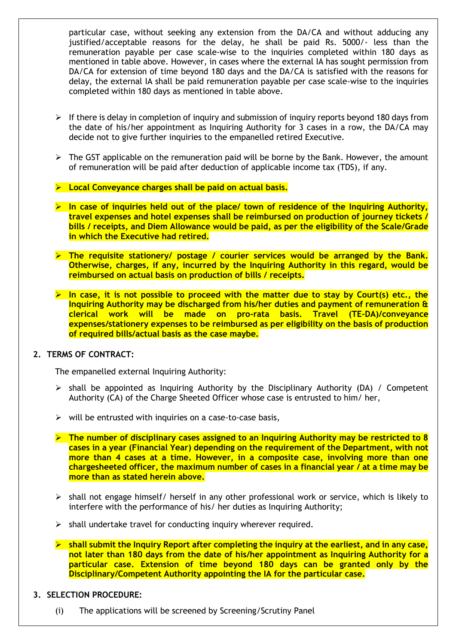particular case, without seeking any extension from the DA/CA and without adducing any justified/acceptable reasons for the delay, he shall be paid Rs. 5000/- less than the remuneration payable per case scale-wise to the inquiries completed within 180 days as mentioned in table above. However, in cases where the external IA has sought permission from DA/CA for extension of time beyond 180 days and the DA/CA is satisfied with the reasons for delay, the external IA shall be paid remuneration payable per case scale-wise to the inquiries completed within 180 days as mentioned in table above.

- $\triangleright$  If there is delay in completion of inquiry and submission of inquiry reports beyond 180 days from the date of his/her appointment as Inquiring Authority for 3 cases in a row, the DA/CA may decide not to give further inquiries to the empanelled retired Executive.
- $\triangleright$  The GST applicable on the remuneration paid will be borne by the Bank. However, the amount of remuneration will be paid after deduction of applicable income tax (TDS), if any.
- ➢ **Local Conveyance charges shall be paid on actual basis.**
- ➢ **In case of inquiries held out of the place/ town of residence of the Inquiring Authority, travel expenses and hotel expenses shall be reimbursed on production of journey tickets / bills / receipts, and Diem Allowance would be paid, as per the eligibility of the Scale/Grade in which the Executive had retired.**
- ➢ **The requisite stationery/ postage / courier services would be arranged by the Bank. Otherwise, charges, if any, incurred by the Inquiring Authority in this regard, would be reimbursed on actual basis on production of bills / receipts.**
- ➢ **In case, it is not possible to proceed with the matter due to stay by Court(s) etc., the Inquiring Authority may be discharged from his/her duties and payment of remuneration & clerical work will be made on pro-rata basis. Travel (TE-DA)/conveyance expenses/stationery expenses to be reimbursed as per eligibility on the basis of production of required bills/actual basis as the case maybe.**

#### **2. TERMS OF CONTRACT:**

The empanelled external Inquiring Authority:

- $\triangleright$  shall be appointed as Inquiring Authority by the Disciplinary Authority (DA) / Competent Authority (CA) of the Charge Sheeted Officer whose case is entrusted to him/ her,
- $\triangleright$  will be entrusted with inquiries on a case-to-case basis,
- ➢ **The number of disciplinary cases assigned to an Inquiring Authority may be restricted to 8 cases in a year (Financial Year) depending on the requirement of the Department, with not more than 4 cases at a time. However, in a composite case, involving more than one chargesheeted officer, the maximum number of cases in a financial year / at a time may be more than as stated herein above.**
- ➢ shall not engage himself/ herself in any other professional work or service, which is likely to interfere with the performance of his/ her duties as Inquiring Authority;
- $\triangleright$  shall undertake travel for conducting inquiry wherever required.
- ➢ **shall submit the Inquiry Report after completing the inquiry at the earliest, and in any case, not later than 180 days from the date of his/her appointment as Inquiring Authority for a particular case. Extension of time beyond 180 days can be granted only by the Disciplinary/Competent Authority appointing the IA for the particular case.**

#### **3. SELECTION PROCEDURE:**

(i) The applications will be screened by Screening/Scrutiny Panel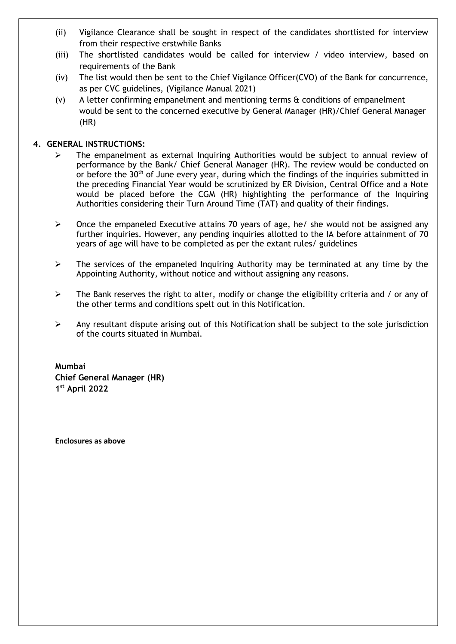- (ii) Vigilance Clearance shall be sought in respect of the candidates shortlisted for interview from their respective erstwhile Banks
- (iii) The shortlisted candidates would be called for interview / video interview, based on requirements of the Bank
- (iv) The list would then be sent to the Chief Vigilance Officer(CVO) of the Bank for concurrence, as per CVC guidelines, (Vigilance Manual 2021)
- (v) A letter confirming empanelment and mentioning terms & conditions of empanelment would be sent to the concerned executive by General Manager (HR)/Chief General Manager (HR)

## **4. GENERAL INSTRUCTIONS:**

- ➢ The empanelment as external Inquiring Authorities would be subject to annual review of performance by the Bank/ Chief General Manager (HR). The review would be conducted on or before the 30<sup>th</sup> of June every year, during which the findings of the inquiries submitted in the preceding Financial Year would be scrutinized by ER Division, Central Office and a Note would be placed before the CGM (HR) highlighting the performance of the Inquiring Authorities considering their Turn Around Time (TAT) and quality of their findings.
- $\triangleright$  Once the empaneled Executive attains 70 years of age, he/ she would not be assigned any further inquiries. However, any pending inquiries allotted to the IA before attainment of 70 years of age will have to be completed as per the extant rules/ guidelines
- $\triangleright$  The services of the empaneled Inquiring Authority may be terminated at any time by the Appointing Authority, without notice and without assigning any reasons.
- $\triangleright$  The Bank reserves the right to alter, modify or change the eligibility criteria and / or any of the other terms and conditions spelt out in this Notification.
- ➢ Any resultant dispute arising out of this Notification shall be subject to the sole jurisdiction of the courts situated in Mumbai.

**Mumbai Chief General Manager (HR) 1 st April 2022**

**Enclosures as above**